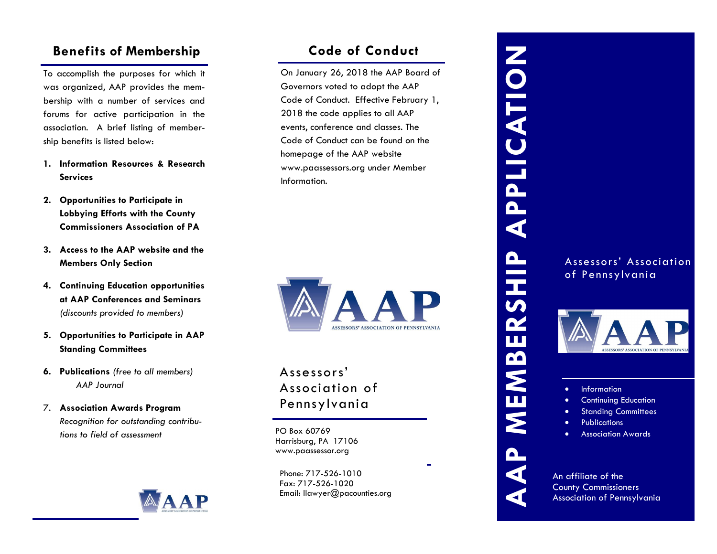# **Benefits of Membership**

To accomplish the purposes for which it was organized, AAP provides the membership with a number of services and forums for active participation in the association. A brief listing of membership benefits is listed below:

- **1. Information Resources & Research Services**
- **2. Opportunities to Participate in Lobbying Efforts with the County Commissioners Association of PA**
- **3. Access to the AAP website and the Members Only Section**
- **4. Continuing Education opportunities at AAP Conferences and Seminars**  *(discounts provided to members)*
- **5. Opportunities to Participate in AAP Standing Committees**
- **6. Publications** *(free to all members) AAP Journal*
- 7. **Association Awards Program** *Recognition for outstanding contributions to field of assessment*



# **Code of Conduct**

On January 26, 2018 the AAP Board of Governors voted to adopt the AAP Code of Conduct. Effective February 1, 2018 the code applies to all AAP events, conference and classes. The Code of Conduct can be found on the homepage of the AAP website www.paassessors.org under Member Information.



# Assessors' Association of Pennsylvania

PO Box 60769 Harrisburg, PA 17106 www.paassessor.org

Phone: 717-526-1010 Fax: 717-526-1020 Email: llawyer@pacounties.org

# APPLICATION **AAP MEMBERSHIP APPLICATION** AAP MEMBERSHIP

### Assessors' Association of Pennsylvania



• Information

- Continuing Education
- **Standing Committees**
- Publications
- Association Awards